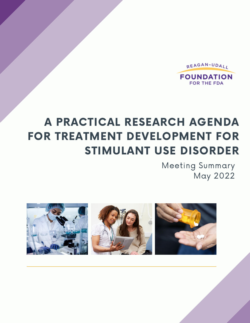

# A PRACTICAL RESEARCH AGENDA FOR TREATMENT DEVELOPMENT FOR STIMULANT USE DISORDER

Meeting Summary May 2022

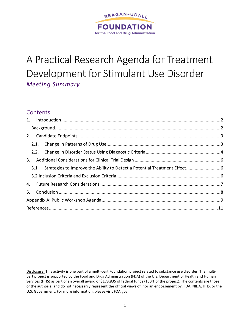

# A Practical Research Agenda for Treatment Development for Stimulant Use Disorder *Meeting Summary*

## **Contents**

|  | 3.  |  |  |
|--|-----|--|--|
|  | 3.1 |  |  |
|  |     |  |  |
|  |     |  |  |
|  |     |  |  |
|  |     |  |  |
|  |     |  |  |

Disclosure: This activity is one part of a multi-part Foundation project related to substance use disorder. The multipart project is supported by the Food and Drug Administration (FDA) of the U.S. Department of Health and Human Services (HHS) as part of an overall award of \$173,835 of federal funds (100% of the project). The contents are those of the author(s) and do not necessarily represent the official views of, nor an endorsement by, FDA, NIDA, HHS, or the U.S. Government. For more information, please visit FDA.gov.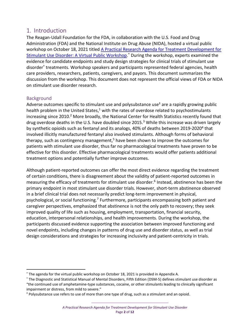## <span id="page-2-0"></span>1. Introduction

The Reagan-Udall Foundation for the FDA, in collaboration with the U.S. Food and Drug Administration (FDA) and the National Institute on Drug Abuse (NIDA), hosted a virtual public workshop on October 18, 2021 titled [A Practical Research Agenda for Treatment Development for](https://reaganudall.org/news-and-events/events/practical-research-agenda-treatment-development-stimulant-use-disorder)  [Stimulant Use Disorder: A Virtual Public Workshop.](https://reaganudall.org/news-and-events/events/practical-research-agenda-treatment-development-stimulant-use-disorder)<sup>\*</sup> During the workshop, experts examined the evidence for candidate endpoints and study design strategies for clinical trials of stimulant use disorder† treatments. Workshop speakers and participants represented federal agencies, health care providers, researchers, patients, caregivers, and payors. This document summarizes the discussion from the workshop. This document does not represent the official views of FDA or NIDA on stimulant use disorder research.

## <span id="page-2-1"></span>**Background**

Adverse outcomes specific to stimulant use and polysubstance use<sup> $\pm$ </sup> are a rapidly growing public health problem in the United States,<sup>1</sup> with the rates of overdose related to psychostimulants increasing since 2010.<sup>2</sup> More broadly, the National Center for Health Statistics recently found that drug overdose deaths in the U.S. have doubled since 2015. <sup>3</sup> While this increase was driven largely by synthetic opioids such as fentanyl and its analogs, 40% of deaths between 2019-2020<sup>4</sup> that involved illicitly manufactured fentanyl also involved stimulants. Although forms of behavioral therapy, such as contingency management,<sup>5</sup> have been shown to improve the outcomes for patients with stimulant use disorder, thus far no pharmacological treatments have proven to be effective for this disorder. Effective pharmacological treatments would offer patients additional treatment options and potentially further improve outcomes.

Although patient-reported outcomes can offer the most direct evidence regarding the treatment of certain conditions, there is disagreement about the validity of patient-reported outcomes in measuring the efficacy of treatments for stimulant use disorder.<sup>6</sup> Instead, abstinence has been the primary endpoint in most stimulant use disorder trials. However, short-term abstinence observed in a brief clinical trial does not necessarily predict long-term improvement in physical, psychological, or social functioning.<sup>7</sup> Furthermore, participants encompassing both patient and caregiver perspectives, emphasized that abstinence is not the only path to recovery; they seek improved quality of life such as housing, employment, transportation, financial security, education, interpersonal relationships, and health improvements. During the workshop, the participants discussed evidence supporting the association between improved functioning and novel endpoints, including changes in patterns of drug use and disorder status, as well as trial design considerations and strategies for increasing inclusivity and patient-centricity in trials.

<sup>\*</sup> The agenda for the virtual public workshop on October 18, 2021 is provided in Appendix A.

<sup>†</sup> The Diagnostic and Statistical Manual of Mental Disorders, Fifth Edition (DSM-5) defines stimulant use disorder as "the continued use of amphetamine-type substances, cocaine, or other stimulants leading to clinically significant impairment or distress, from mild to severe."

<sup>‡</sup> Polysubstance use refers to use of more than one type of drug, such as a stimulant and an opioid.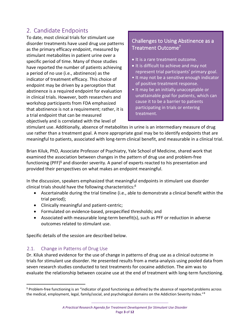## 2. Candidate Endpoints

<span id="page-3-0"></span>To date, most clinical trials for stimulant use disorder treatments have used drug use patterns as the primary efficacy endpoint, measured by stimulant metabolites in patient urine over a specific period of time. Many of those studies have reported the number of patients achieving a period of no use (i.e., abstinence) as the indicator of treatment efficacy. This choice of endpoint may be driven by a perception that abstinence is a required endpoint for evaluation in clinical trials. However, both researchers and workshop participants from FDA emphasized that abstinence is not a requirement; rather, it is a trial endpoint that can be measured objectively and is correlated with the level of

## Challenges to Using Abstinence as a Treatment Outcome<sup>7</sup>

- It is a rare treatment outcome.
- It is difficult to achieve and may not represent trial participants' primary goal.
- It may not be a sensitive enough indicator of positive treatment response.
- It may be an initially unacceptable or unattainable goal for patients, which can cause it to be a barrier to patients participating in trials or entering treatment.

stimulant use. Additionally, absence of metabolites in urine is an intermediary measure of drug use rather than a treatment goal. A more appropriate goal may be to identify endpoints that are meaningful to patients, associated with long-term clinical benefit, and measurable in a clinical trial.

Brian Kiluk, PhD, Associate Professor of Psychiatry, Yale School of Medicine, shared work that examined the association between changes in the pattern of drug use and problem-free functioning (PFF) $\frac{5}{9}$  and disorder severity. A panel of experts reacted to his presentation and provided their perspectives on what makes an endpoint meaningful.

In the discussion, speakers emphasized that meaningful endpoints in stimulant use disorder clinical trials should have the following characteristics:<sup>6</sup>

- Ascertainable during the trial timeline (i.e., able to demonstrate a clinical benefit within the trial period);
- Clinically meaningful and patient-centric;
- Formulated on evidence-based, prespecified thresholds; and
- Associated with measurable long-term benefit(s), such as PFF or reduction in adverse outcomes related to stimulant use.

Specific details of the session are described below.

### <span id="page-3-1"></span>2.1. Change in Patterns of Drug Use

Dr. Kiluk shared evidence for the use of change in patterns of drug use as a clinical outcome in trials for stimulant use disorder. He presented results from a meta-analysis using pooled data from seven research studies conducted to test treatments for cocaine addiction. The aim was to evaluate the relationship between cocaine use at the end of treatment with long-term functioning.

<sup>§</sup> Problem-free functioning is an "indicator of good functioning as defined by the absence of reported problems across the medical, employment, legal, family/social, and psychological domains on the Addiction Severity Index."<sup>8</sup>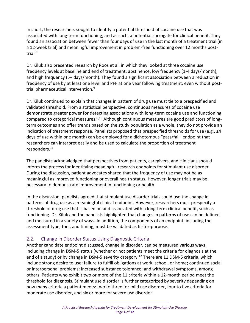In short, the researchers sought to identify a potential threshold of cocaine use that was associated with long-term functioning; and as such, a potential surrogate for clinical benefit. They found an association between fewer than four days of use in the last month of a treatment trial (in a 12-week trial) and meaningful improvement in problem-free functioning over 12 months posttrial.<sup>8</sup>

Dr. Kiluk also presented research by Roos et al. in which they looked at three cocaine use frequency levels at baseline and end of treatment: abstinence, low frequency (1-4 days/month), and high frequency (5+ days/month). They found a significant association between a reduction in frequency of use by at least one level and PFF at one year following treatment, even without posttrial pharmaceutical intervention.<sup>9</sup>

Dr. Kiluk continued to explain that changes in pattern of drug use must tie to a prespecified and validated threshold. From a statistical perspective, continuous measures of cocaine use demonstrate greater power for detecting associations with long-term cocaine use and functioning compared to categorical measures.<sup>8,10</sup> Although continuous measures are good predictors of longterm outcomes and offer trends based on the study population as a whole, they do not provide an indication of treatment response. Panelists proposed that prespecified thresholds for use (e.g., ≤4 days of use within one month) can be employed for a dichotomous "pass/fail" endpoint that researchers can interpret easily and be used to calculate the proportion of treatment responders.<sup>11</sup>

The panelists acknowledged that perspectives from patients, caregivers, and clinicians should inform the process for identifying meaningful research endpoints for stimulant use disorder. During the discussion, patient advocates shared that the frequency of use may not be as meaningful as improved functioning or overall health status. However, longer trials may be necessary to demonstrate improvement in functioning or health.

In the discussion, panelists agreed that stimulant use disorder trials could use the change in patterns of drug use as a meaningful clinical endpoint. However, researchers must prespecify a threshold of drug use that is based on and associated with a long-term clinical benefit, such as functioning. Dr. Kiluk and the panelists highlighted that changes in patterns of use can be defined and measured in a variety of ways. In addition, the components of an endpoint, including the assessment type, tool, and timing, must be validated as fit-for-purpose.

## <span id="page-4-0"></span>2.2. Change in Disorder Status Using Diagnostic Criteria

Another candidate endpoint discussed, change in disorder, can be measured various ways, including change in DSM-5 status (whether or not patients meet the criteria for diagnosis at the end of a study) or by change in DSM-5 severity category.<sup>12</sup> There are 11 DSM-5 criteria, which include strong desire to use; failure to fulfill obligations at work, school, or home; continued social or interpersonal problems; increased substance tolerance; and withdrawal symptoms, among others. Patients who exhibit two or more of the 11 criteria within a 12-month period meet the threshold for diagnosis. Stimulant use disorder is further categorized by severity depending on how many criteria a patient meets: two to three for mild use disorder, four to five criteria for moderate use disorder, and six or more for severe use disorder.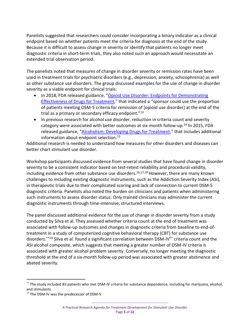Panelists suggested that researchers could consider incorporating a binary indicator as a clinical endpoint based on whether patients meet the criteria for diagnosis at the end of the study. Because it is difficult to assess change in severity or identify that patients no longer meet diagnostic criteria in short-term trials, they also noted such an approach would necessitate an extended trial observation period.

The panelists noted that measures of change in disorder severity or remission rates have been used in treatment trials for psychiatric disorders (e.g., depression, anxiety, schizophrenia) as well as other substance use disorders. The group discussed examples for the use of change in disorder severity as a viable endpoint for clinical trials:

- In 2018, FDA released guidance, "[Opioid Use Disorder: Endpoints for Demonstrating](https://www.fda.gov/regulatory-information/search-fda-guidance-documents/opioid-use-disorder-endpoints-demonstrating-effectiveness-drugs-treatment-guidance-industry)  [Effectiveness of Drugs for Treatment](https://www.fda.gov/regulatory-information/search-fda-guidance-documents/opioid-use-disorder-endpoints-demonstrating-effectiveness-drugs-treatment-guidance-industry)," that indicated a "sponsor could use the proportion of patients meeting DSM-5 criteria for remission of [opioid use disorder] at the end of the trial as a primary or secondary efficacy endpoint."<sup>13</sup>
- In previous research for alcohol use disorder, reduction in criteria count and severity category were associated with better outcomes at six-month follow-up.<sup>14</sup> In 2015, FDA released guidance, "[Alcoholism: Developing Drugs for Treatment](https://www.fda.gov/regulatory-information/search-fda-guidance-documents/alcoholism-developing-drugs-treatment)," that includes additional information about endpoint selection.<sup>15</sup>

Additional research is needed to understand how measures for other disorders and diseases can better chart stimulant use disorder.

Workshop participants discussed evidence from several studies that have found change in disorder severity to be a consistent indicator based on test-retest reliability and procedural validity, including evidence from other substance use disorders.<sup>16,17,18</sup> However, there are many known challenges to including existing diagnostic instruments, such as the Addiction Severity Index (ASI), in therapeutic trials due to their complicated scoring and lack of connection to current DSM-5 diagnostic criteria. Panelists also noted the burden on clinicians and patients when administering such instruments to assess disorder status: Only trained clinicians may administer the current diagnostic instruments through time-intensive, structured interviews.

The panel discussed additional evidence for the use of change in disorder severity from a study conducted by Silva et al. They assessed whether criteria count at the end of treatment was associated with follow-up outcomes and changes in diagnostic criteria from baseline to end-oftreatment in a study of computerized cognitive behavioral therapy (CBT) for substance use disorders.\*\*19 Silva et al. found a significant correlation between DSM-IV†† criteria count and the ASI alcohol composite, which suggests that meeting a greater number of DSM-IV criteria is associated with greater alcohol problem severity. Conversely, no longer meeting the diagnostic threshold at the end of a six-month follow-up period was associated with greater abstinence and abated severity.

<sup>\*\*</sup> The study included 83 patients who met DSM-IV criteria for substance dependence, including for marijuana, alcohol, and stimulants.

<sup>††</sup> The DSM-IV was the predecessor of DSM-5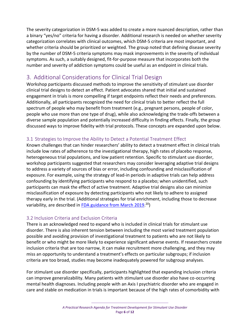The severity categorization in DSM-5 was added to create a more nuanced description, rather than a binary "yes/no" criteria for having a disorder. Additional research is needed on whether severity categorization correlates with clinical outcomes, which DSM-5 criteria are most important, and whether criteria should be prioritized or weighted. The group noted that defining disease severity by the number of DSM-5 criteria symptoms may mask improvements in the severity of individual symptoms. As such, a suitably designed, fit-for-purpose measure that incorporates both the number and severity of addiction symptoms could be useful as an endpoint in clinical trials.

## <span id="page-6-0"></span>3. Additional Considerations for Clinical Trial Design

Workshop participants discussed methods to improve the sensitivity of stimulant use disorder clinical trial designs to detect an effect. Patient advocates shared that initial and sustained engagement in trials is more compelling if target endpoints reflect their needs and preferences. Additionally, all participants recognized the need for clinical trials to better reflect the full spectrum of people who may benefit from treatment (e.g., pregnant persons, people of color, people who use more than one type of drug), while also acknowledging the trade-offs between a diverse sample population and potentially increased difficulty in finding effects. Finally, the group discussed ways to improve fidelity with trial protocols. These concepts are expanded upon below.

## <span id="page-6-1"></span>3.1 Strategies to Improve the Ability to Detect a Potential Treatment Effect

Known challenges that can hinder researchers' ability to detect a treatment effect in clinical trials include low rates of adherence to the investigational therapy, high rates of placebo response, heterogeneous trial populations, and low patient retention. Specific to stimulant use disorder, workshop participants suggested that researchers may consider leveraging adaptive trial designs to address a variety of sources of bias or error, including confounding and misclassification of exposure. For example, using the strategy of lead-in periods in adaptive trials can help address confounding by identifying participants who respond to a placebo; when unidentified, such participants can mask the effect of active treatment. Adaptive trial designs also can minimize misclassification of exposure by detecting participants who not likely to adhere to assigned therapy early in the trial. (Additional strategies for trial enrichment, including those to decrease variability, are described in **FDA guidance from March 2019**.<sup>20</sup>)

## <span id="page-6-2"></span>3.2 Inclusion Criteria and Exclusion Criteria

There is an acknowledged need to expand who is included in clinical trials for stimulant use disorder. There is also inherent tension between including the most varied treatment population possible and avoiding provision of investigational treatment to patients who are not likely to benefit or who might be more likely to experience significant adverse events. If researchers create inclusion criteria that are too narrow, it can make recruitment more challenging, and they may miss an opportunity to understand a treatment's effects on particular subgroups; if inclusion criteria are too broad, studies may become inadequately powered for subgroup analyses.

For stimulant use disorder specifically, participants highlighted that expanding inclusion criteria can improve generalizability. Many patients with stimulant use disorder also have co-occurring mental health diagnoses. Including people with an Axis I psychiatric disorder who are engaged in care and stable on medication in trials is important because of the high rates of comorbidity with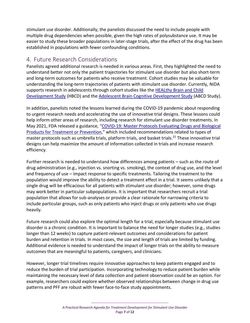stimulant use disorder. Additionally, the panelists discussed the need to include people with multiple drug dependencies when possible, given the high rates of polysubstance use. It may be easier to study these broader populations in later-stage trials, after the effect of the drug has been established in populations with fewer confounding conditions.

## <span id="page-7-0"></span>4. Future Research Considerations

Panelists agreed additional research is needed in various areas. First, they highlighted the need to understand better not only the patient trajectories for stimulant use disorder but also short-term and long-term outcomes for patients who receive treatment. Cohort studies may be valuable for understanding the long-term trajectories of patients with stimulant use disorder. Currently, NIDA supports research in adolescents through cohort studies like the HEALthy Brain and Child [Development Study](https://heal.nih.gov/research/infants-and-children/healthy-brain) (HBCD) and th[e Adolescent Brain Cognitive Development Study](https://www.drugabuse.gov/drug-topics/adolescent-brain/longitudinal-study-adolescent-brain-cognitive-development-abcd-study) (ABCD Study).

In addition, panelists noted the lessons learned during the COVID-19 pandemic about responding to urgent research needs and accelerating the use of innovative trial designs. These lessons could help inform other areas of research, including research for stimulant use disorder treatments. In May 2021, FDA released a guidance, "COVID-19: Master Protocols Evaluating Drugs and Biological [Products for Treatment or Prevention](https://www.fda.gov/regulatory-information/search-fda-guidance-documents/covid-19-master-protocols-evaluating-drugs-and-biological-products-treatment-or-prevention)," which included recommendations related to types of master protocols such as umbrella trials, platform trials, and basket trials.<sup>21</sup> These innovative trial designs can help maximize the amount of information collected in trials and increase research efficiency.

Further research is needed to understand how differences among patients – such as the route of drug administration (e.g., injection vs. snorting vs. smoking), the context of drug use, and the level and frequency of use – impact response to specific treatments. Tailoring the treatment to the population would improve the ability to detect a treatment effect in a trial. It seems unlikely that a single drug will be efficacious for all patients with stimulant use disorder; however, some drugs may work better in particular subpopulations. It is important that researchers recruit a trial population that allows for sub-analyses or provide a clear rationale for narrowing criteria to include particular groups, such as only patients who inject drugs or only patients who use drugs heavily.

Future research could also explore the optimal length for a trial, especially because stimulant use disorder is a chronic condition. It is important to balance the need for longer studies (e.g., studies longer than 12 weeks) to capture patient-relevant outcomes and considerations for patient burden and retention in trials. In most cases, the size and length of trials are limited by funding. Additional evidence is needed to understand the impact of longer trials on the ability to measure outcomes that are meaningful to patients, caregivers, and clinicians.

However, longer trial timelines require innovative approaches to keep patients engaged and to reduce the burden of trial participation. Incorporating technology to reduce patient burden while maintaining the necessary level of data collection and patient observation could be an option. For example, researchers could explore whether observed relationships between change in drug use patterns and PFF are robust with fewer face-to-face study appointments.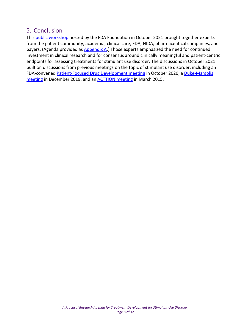## <span id="page-8-0"></span>5. Conclusion

This [public workshop](https://reaganudall.org/news-and-events/events/practical-research-agenda-treatment-development-stimulant-use-disorder) hosted by the FDA Foundation in October 2021 brought together experts from the patient community, academia, clinical care, FDA, NIDA, pharmaceutical companies, and payers. (Agenda provided a[s Appendix A.](#page-9-0)) Those experts emphasized the need for continued investment in clinical research and for consensus around clinically meaningful and patient-centric endpoints for assessing treatments for stimulant use disorder. The discussions in October 2021 built on discussions from previous meetings on the topic of stimulant use disorder, including an FDA-convened [Patient-Focused Drug Development meeting](https://www.fda.gov/drugs/news-events-human-drugs/public-meeting-patient-focused-drug-development-stimulant-use-disorder-10062020-10062020) in October 2020, a [Duke-Margolis](https://healthpolicy.duke.edu/events/developing-novel-therapies-stimulant-use-disorder-0)  [meeting](https://healthpolicy.duke.edu/events/developing-novel-therapies-stimulant-use-disorder-0) in December 2019, and a[n ACTTION meeting](https://www.ncbi.nlm.nih.gov/pmc/articles/PMC4698050/) in March 2015.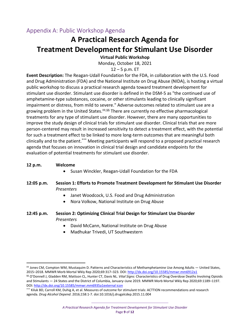## <span id="page-9-0"></span>Appendix A: Public Workshop Agenda

## **A Practical Research Agenda for Treatment Development for Stimulant Use Disorder**

### **Virtual Public Workshop**

Monday, October 18, 2021

### 12 – 5 p.m. ET

**Event Description:** The Reagan-Udall Foundation for the FDA, in collaboration with the U.S. Food and Drug Administration (FDA) and the National Institute on Drug Abuse (NIDA), is hosting a virtual public workshop to discuss a practical research agenda toward treatment development for stimulant use disorder. Stimulant use disorder is defined in the DSM-5 as "the continued use of amphetamine-type substances, cocaine, or other stimulants leading to clinically significant impairment or distress, from mild to severe." Adverse outcomes related to stimulant use are a growing problem in the United States.<sup>##,§§</sup> There are currently no effective pharmacological treatments for any type of stimulant use disorder. However, there are many opportunities to improve the study design of clinical trials for stimulant use disorder. Clinical trials that are more person-centered may result in increased sensitivity to detect a treatment effect, with the potential for such a treatment effect to be linked to more long-term outcomes that are meaningful both clinically and to the patient. \*\*\* Meeting participants will respond to a proposed practical research agenda that focuses on innovation in clinical trial design and candidate endpoints for the evaluation of potential treatments for stimulant use disorder.

### **12 p.m. Welcome**

• Susan Winckler, Reagan-Udall Foundation for the FDA

### **12:05 p.m. Session 1: Efforts to Promote Treatment Development for Stimulant Use Disorder**  *Presenters*

- Janet Woodcock, U.S. Food and Drug Administration
- Nora Volkow, National Institute on Drug Abuse
- **12:45 p.m. Session 2: Optimizing Clinical Trial Design for Stimulant Use Disorder** *Presenters*
	- David McCann, National Institute on Drug Abuse
	- Madhukar Trivedi, UT Southwestern

<sup>‡‡</sup> Jones CM, Compton WM, Mustaquim D. Patterns and Characteristics of Methamphetamine Use Among Adults — United States, 2015–2018. MMWR Morb Mortal Wkly Rep 2020;69:317–323. DOI: <http://dx.doi.org/10.15585/mmwr.mm6912a1>

<sup>§§</sup> O'Donnell J, Gladden RM, Mattson CL, Hunter CT, Davis NL. *Vital Signs:* Characteristics of Drug Overdose Deaths Involving Opioids and Stimulants — 24 States and the District of Columbia, January–June 2019. MMWR Morb Mortal Wkly Rep 2020;69:1189–1197. DOI: [http://dx.doi.org/10.15585/mmwr.mm6935a1external icon](http://dx.doi.org/10.15585/mmwr.mm6935a1)

<sup>\*\*\*</sup> Kiluk BD, Carroll KM, Duhig A, et al. Measures of outcome for stimulant trials: ACTTION recommendations and research agenda. *Drug Alcohol Depend*. 2016;158:1-7. doi:10.1016/j.drugalcdep.2015.11.004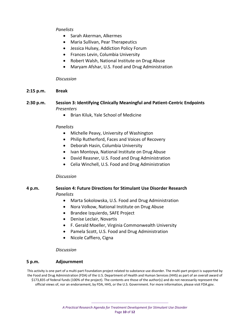### *Panelists*

- Sarah Akerman, Alkermes
- Maria Sullivan, Pear Therapeutics
- Jessica Hulsey, Addiction Policy Forum
- Frances Levin, Columbia University
- Robert Walsh, National Institute on Drug Abuse
- Maryam Afshar, U.S. Food and Drug Administration

### *Discussion*

**2:15 p.m. Break**

### **2:30 p.m. Session 3: Identifying Clinically Meaningful and Patient-Centric Endpoints** *Presenters*

• Brian Kiluk, Yale School of Medicine

### *Panelists*

- Michelle Peavy, University of Washington
- Philip Rutherford, Faces and Voices of Recovery
- Deborah Hasin, Columbia University
- Ivan Montoya, National Institute on Drug Abuse
- David Reasner, U.S. Food and Drug Administration
- Celia Winchell, U.S. Food and Drug Administration

### *Discussion*

### **4 p.m. Session 4: Future Directions for Stimulant Use Disorder Research** *Panelists*

- Marta Sokolowska, U.S. Food and Drug Administration
- Nora Volkow, National Institute on Drug Abuse
- Brandee Izquierdo, SAFE Project
- Denise Leclair, Novartis
- F. Gerald Moeller, Virginia Commonwealth University
- Pamela Scott, U.S. Food and Drug Administration
- Nicole Caffiero, Cigna

### *Discussion*

### **5 p.m. Adjournment**

This activity is one part of a multi-part Foundation project related to substance use disorder. The multi-part project is supported by the Food and Drug Administration (FDA) of the U.S. Department of Health and Human Services (HHS) as part of an overall award of \$173,835 of federal funds (100% of the project). The contents are those of the author(s) and do not necessarily represent the official views of, nor an endorsement, by FDA, HHS, or the U.S. Government. For more information, please visit FDA.gov.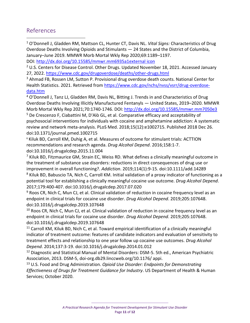## <span id="page-11-0"></span>References

<sup>1</sup> O'Donnell J, Gladden RM, Mattson CL, Hunter CT, Davis NL. *Vital Signs:* Characteristics of Drug Overdose Deaths Involving Opioids and Stimulants — 24 States and the District of Columbia, January–June 2019. MMWR Morb Mortal Wkly Rep 2020;69:1189–1197.

DOI: [http://dx.doi.org/10.15585/mmwr.mm6935a1external icon](http://dx.doi.org/10.15585/mmwr.mm6935a1)

 $2$  U.S. Centers for Disease Control. Other Drugs. Updated November 18, 2021. Accessed January 27, 2022[. https://www.cdc.gov/drugoverdose/deaths/other-drugs.html](https://www.cdc.gov/drugoverdose/deaths/other-drugs.html)

<sup>3</sup> Ahmad FB, Rossen LM, Sutton P. Provisional drug overdose death counts. National Center for Health Statistics. 2021. Retrieved from [https://www.cdc.gov/nchs/nvss/vsrr/drug-overdose](https://www.cdc.gov/nchs/nvss/vsrr/drug-overdose-data.htm)[data.htm](https://www.cdc.gov/nchs/nvss/vsrr/drug-overdose-data.htm)

 $4$  O'Donnell J, Tanz LJ, Gladden RM, Davis NL, Bitting J. Trends in and Characteristics of Drug Overdose Deaths Involving Illicitly Manufactured Fentanyls — United States, 2019–2020. MMWR Morb Mortal Wkly Rep 2021;70:1740-1746. DOI:<http://dx.doi.org/10.15585/mmwr.mm7050e3>

<sup>5</sup> De Crescenzo F, Ciabattini M, D'Alò GL, et al. Comparative efficacy and acceptability of psychosocial interventions for individuals with cocaine and amphetamine addiction: A systematic review and network meta-analysis. PLoS Med. 2018;15(12):e1002715. Published 2018 Dec 26. doi:10.1371/journal.pmed.1002715

<sup>6</sup> Kiluk BD, Carroll KM, Duhig A, et al. Measures of outcome for stimulant trials: ACTTION recommendations and research agenda. *Drug Alcohol Depend*. 2016;158:1-7. doi:10.1016/j.drugalcdep.2015.11.004

 $<sup>7</sup>$  Kiluk BD, Fitzmaurice GM, Strain EC, Weiss RD. What defines a clinically meaningful outcome in</sup> the treatment of substance use disorders: reductions in direct consequences of drug use or improvement in overall functioning?. *Addiction*. 2019;114(1):9-15. doi:10.1111/add.14289 <sup>8</sup> Kiluk BD, Babuscio TA, Nich C, Carroll KM. Initial validation of a proxy indicator of functioning as a potential tool for establishing a clinically meaningful cocaine use outcome. *Drug Alcohol Depend*. 2017;179:400-407. doi:10.1016/j.drugalcdep.2017.07.020

<sup>9</sup> Roos CR, Nich C, Mun CJ, et al. Clinical validation of reduction in cocaine frequency level as an endpoint in clinical trials for cocaine use disorder. *Drug Alcohol Depend*. 2019;205:107648. doi:10.1016/j.drugalcdep.2019.107648

 $10$  Roos CR, Nich C, Mun CJ, et al. Clinical validation of reduction in cocaine frequency level as an endpoint in clinical trials for cocaine use disorder. *Drug Alcohol Depend*. 2019;205:107648. doi:10.1016/j.drugalcdep.2019.107648

<sup>11</sup> Carroll KM, Kiluk BD, Nich C, et al. Toward empirical identification of a clinically meaningful indicator of treatment outcome: features of candidate indicators and evaluation of sensitivity to treatment effects and relationship to one year follow up cocaine use outcomes. *Drug Alcohol Depend*. 2014;137:3-19. doi:10.1016/j.drugalcdep.2014.01.012

<sup>12</sup> Diagnostic and Statistical Manual of Mental Disorders: DSM-5. 5th ed., American Psychiatric Association, 2013. DSM-5, doi-org.db29.linccweb.org/10.1176/ appi.

<sup>13</sup> U.S. Food and Drug Administration. *Opioid Use Disorder: Endpoints for Demonstrating Effectiveness of Drugs for Treatment Guidance for Industry*. US Department of Health & Human Services; October 2020.